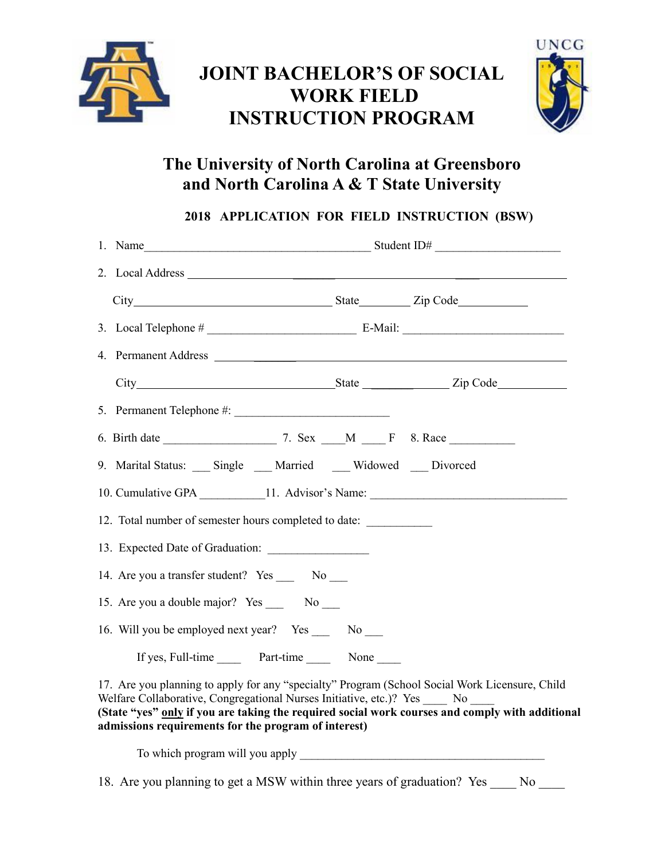

# **JOINT BACHELOR'S OF SOCIAL WORK FIELD INSTRUCTION PROGRAM**



# **The University of North Carolina at Greensboro and North Carolina A & T State University**

**2018 APPLICATION FOR FIELD INSTRUCTION (BSW)**

|                                                       | 9. Marital Status: Single Married Widowed Divorced                                                                                                                                                                                                                                                                                  |  |  |
|-------------------------------------------------------|-------------------------------------------------------------------------------------------------------------------------------------------------------------------------------------------------------------------------------------------------------------------------------------------------------------------------------------|--|--|
|                                                       | 10. Cumulative GPA _____________11. Advisor's Name: ____________________________                                                                                                                                                                                                                                                    |  |  |
| 12. Total number of semester hours completed to date: |                                                                                                                                                                                                                                                                                                                                     |  |  |
|                                                       |                                                                                                                                                                                                                                                                                                                                     |  |  |
| 14. Are you a transfer student? Yes ______ No ____    |                                                                                                                                                                                                                                                                                                                                     |  |  |
|                                                       | 15. Are you a double major? Yes ______ No _____                                                                                                                                                                                                                                                                                     |  |  |
|                                                       | 16. Will you be employed next year? Yes No                                                                                                                                                                                                                                                                                          |  |  |
|                                                       | If yes, Full-time Part-time None                                                                                                                                                                                                                                                                                                    |  |  |
|                                                       | 17. Are you planning to apply for any "specialty" Program (School Social Work Licensure, Child<br>Welfare Collaborative, Congregational Nurses Initiative, etc.)? Yes No<br>(State "yes" only if you are taking the required social work courses and comply with additional<br>admissions requirements for the program of interest) |  |  |
|                                                       |                                                                                                                                                                                                                                                                                                                                     |  |  |

18. Are you planning to get a MSW within three years of graduation? Yes No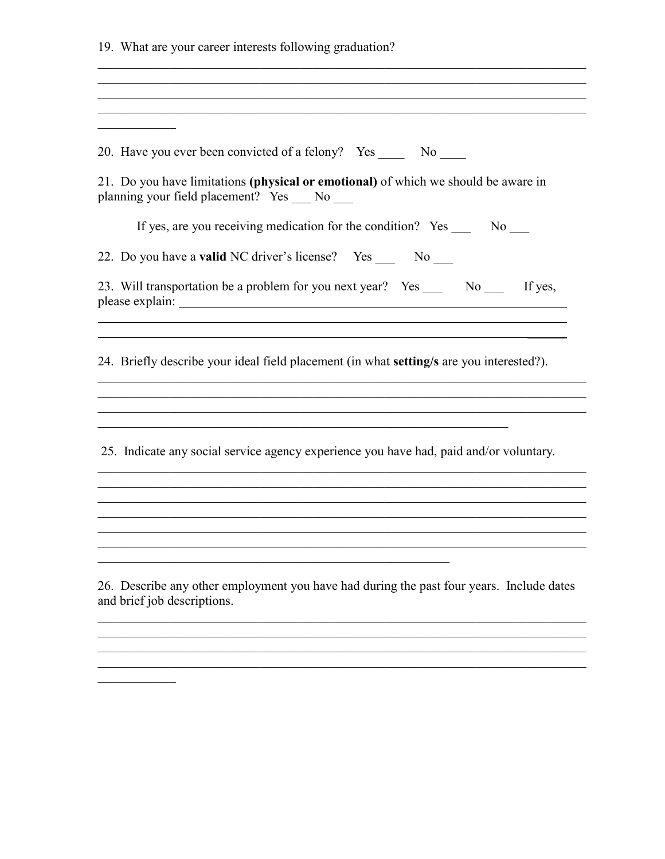19. What are your career interests following graduation?

20. Have you ever been convicted of a felony? Yes \_\_\_\_\_\_ No \_\_\_\_\_ 21. Do you have limitations (physical or emotional) of which we should be aware in planning your field placement? Yes No If yes, are you receiving medication for the condition? Yes No 22. Do you have a valid NC driver's license? Yes No 23. Will transportation be a problem for you next year? Yes No If yes, the control of the control of the control of the control of the control of the control of the control of the control of the control of the control of the control of the control of the control of the control of the control 24. Briefly describe your ideal field placement (in what setting/s are you interested?). <u> 1989 - Johann Stoff, amerikansk politiker (d. 1989)</u> 25. Indicate any social service agency experience you have had, paid and/or voluntary. <u> 1989 - Johann Stoff, amerikansk politiker (d. 1989)</u> 26. Describe any other employment you have had during the past four years. Include dates and brief job descriptions.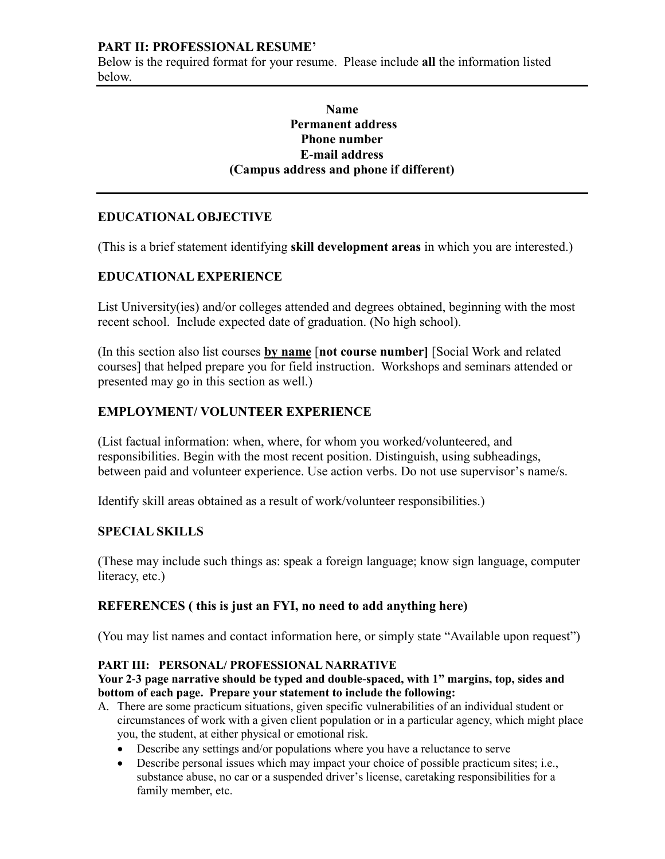#### **PART II: PROFESSIONAL RESUME'**

Below is the required format for your resume. Please include **all** the information listed below.

# **Name Permanent address Phone number E-mail address (Campus address and phone if different)**

# **EDUCATIONAL OBJECTIVE**

(This is a brief statement identifying **skill development areas** in which you are interested.)

# **EDUCATIONAL EXPERIENCE**

List University(ies) and/or colleges attended and degrees obtained, beginning with the most recent school. Include expected date of graduation. (No high school).

(In this section also list courses **by name** [**not course number]** [Social Work and related courses] that helped prepare you for field instruction. Workshops and seminars attended or presented may go in this section as well.)

# **EMPLOYMENT/ VOLUNTEER EXPERIENCE**

(List factual information: when, where, for whom you worked/volunteered, and responsibilities. Begin with the most recent position. Distinguish, using subheadings, between paid and volunteer experience. Use action verbs. Do not use supervisor's name/s.

Identify skill areas obtained as a result of work/volunteer responsibilities.)

# **SPECIAL SKILLS**

(These may include such things as: speak a foreign language; know sign language, computer literacy, etc.)

# **REFERENCES ( this is just an FYI, no need to add anything here)**

(You may list names and contact information here, or simply state "Available upon request")

#### **PART III: PERSONAL/ PROFESSIONAL NARRATIVE**

**Your 2-3 page narrative should be typed and double-spaced, with 1" margins, top, sides and bottom of each page. Prepare your statement to include the following:** 

- A. There are some practicum situations, given specific vulnerabilities of an individual student or circumstances of work with a given client population or in a particular agency, which might place you, the student, at either physical or emotional risk.
	- Describe any settings and/or populations where you have a reluctance to serve
	- Describe personal issues which may impact your choice of possible practicum sites; i.e., substance abuse, no car or a suspended driver's license, caretaking responsibilities for a family member, etc.